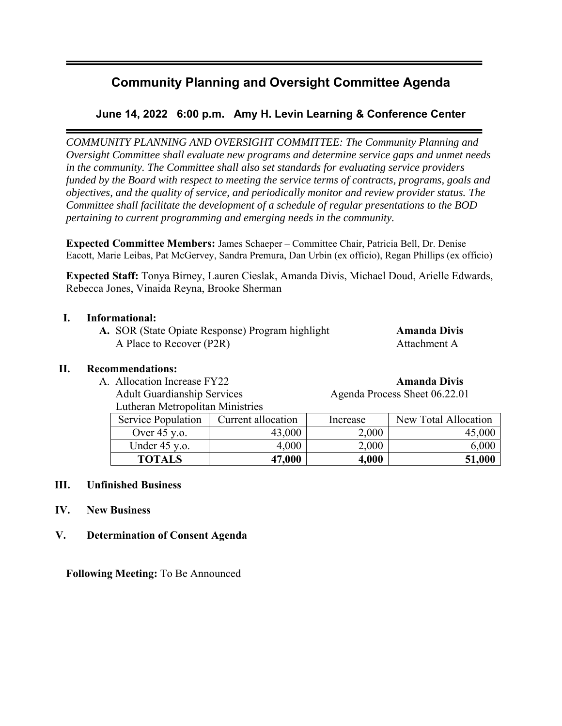## **Community Planning and Oversight Committee Agenda**

## **June 14, 2022 6:00 p.m. Amy H. Levin Learning & Conference Center**

*COMMUNITY PLANNING AND OVERSIGHT COMMITTEE: The Community Planning and Oversight Committee shall evaluate new programs and determine service gaps and unmet needs in the community. The Committee shall also set standards for evaluating service providers funded by the Board with respect to meeting the service terms of contracts, programs, goals and objectives, and the quality of service, and periodically monitor and review provider status. The Committee shall facilitate the development of a schedule of regular presentations to the BOD pertaining to current programming and emerging needs in the community.* 

**Expected Committee Members:** James Schaeper – Committee Chair, Patricia Bell, Dr. Denise Eacott, Marie Leibas, Pat McGervey, Sandra Premura, Dan Urbin (ex officio), Regan Phillips (ex officio)

**Expected Staff:** Tonya Birney, Lauren Cieslak, Amanda Divis, Michael Doud, Arielle Edwards, Rebecca Jones, Vinaida Reyna, Brooke Sherman

## **I. Informational:**

A. SOR (State Opiate Response) Program highlight **Amanda Divis** A Place to Recover (P2R) Attachment A

## **II. Recommendations:**

- A. Allocation Increase FY22 **Amanda Divis**
	- Lutheran Metropolitan Ministries

| Amanda Divie |  |
|--------------|--|

Adult Guardianship Services Agenda Process Sheet 06.22.01

| Lutheran includional infinition<br><b>Service Population</b> | Current allocation | Increase | New Total Allocation |
|--------------------------------------------------------------|--------------------|----------|----------------------|
|                                                              |                    |          |                      |
| Over $45$ y.o.                                               | 43,000             | 2,000    |                      |
| Under $45$ y.o.                                              | 4,000              | 2,000    | 6,000                |
| <b>TOTALS</b>                                                | 47,000             | 4,000    | 51,000               |

## **III. Unfinished Business**

## **IV. New Business**

## **V. Determination of Consent Agenda**

**Following Meeting:** To Be Announced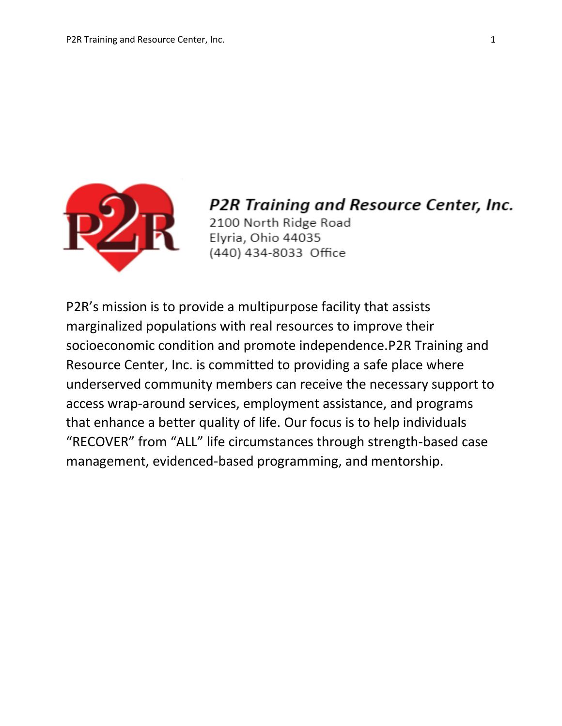

P2R Training and Resource Center, Inc. 2100 North Ridge Road Elyria, Ohio 44035 (440) 434-8033 Office

P2R's mission is to provide a multipurpose facility that assists marginalized populations with real resources to improve their socioeconomic condition and promote independence.P2R Training and Resource Center, Inc. is committed to providing a safe place where underserved community members can receive the necessary support to access wrap-around services, employment assistance, and programs that enhance a better quality of life. Our focus is to help individuals "RECOVER" from "ALL" life circumstances through strength-based case management, evidenced-based programming, and mentorship.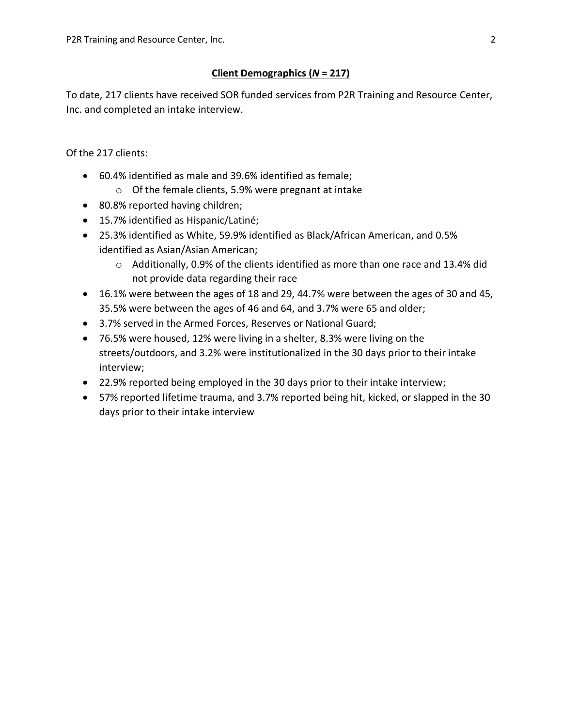## **Client Demographics (***N* **= 217)**

To date, 217 clients have received SOR funded services from P2R Training and Resource Center, Inc. and completed an intake interview.

Of the 217 clients:

- 60.4% identified as male and 39.6% identified as female;
	- o Of the female clients, 5.9% were pregnant at intake
- 80.8% reported having children;
- 15.7% identified as Hispanic/Latiné;
- 25.3% identified as White, 59.9% identified as Black/African American, and 0.5% identified as Asian/Asian American;
	- $\circ$  Additionally, 0.9% of the clients identified as more than one race and 13.4% did not provide data regarding their race
- 16.1% were between the ages of 18 and 29, 44.7% were between the ages of 30 and 45, 35.5% were between the ages of 46 and 64, and 3.7% were 65 and older;
- 3.7% served in the Armed Forces, Reserves or National Guard;
- 76.5% were housed, 12% were living in a shelter, 8.3% were living on the streets/outdoors, and 3.2% were institutionalized in the 30 days prior to their intake interview;
- 22.9% reported being employed in the 30 days prior to their intake interview;
- 57% reported lifetime trauma, and 3.7% reported being hit, kicked, or slapped in the 30 days prior to their intake interview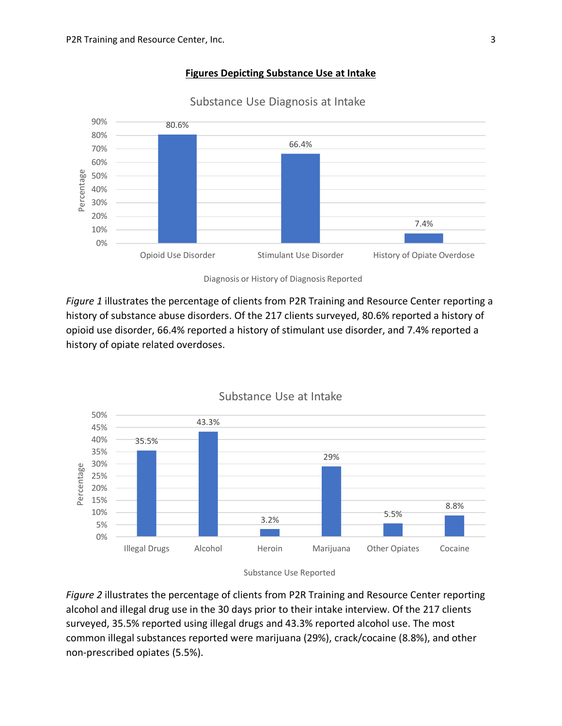#### **Figures Depicting Substance Use at Intake**



Substance Use Diagnosis at Intake

Diagnosis or History of Diagnosis Reported

*Figure 1* illustrates the percentage of clients from P2R Training and Resource Center reporting a history of substance abuse disorders. Of the 217 clients surveyed, 80.6% reported a history of opioid use disorder, 66.4% reported a history of stimulant use disorder, and 7.4% reported a history of opiate related overdoses.



Substance Use at Intake

*Figure 2* illustrates the percentage of clients from P2R Training and Resource Center reporting alcohol and illegal drug use in the 30 days prior to their intake interview. Of the 217 clients surveyed, 35.5% reported using illegal drugs and 43.3% reported alcohol use. The most common illegal substances reported were marijuana (29%), crack/cocaine (8.8%), and other non-prescribed opiates (5.5%).

Substance Use Reported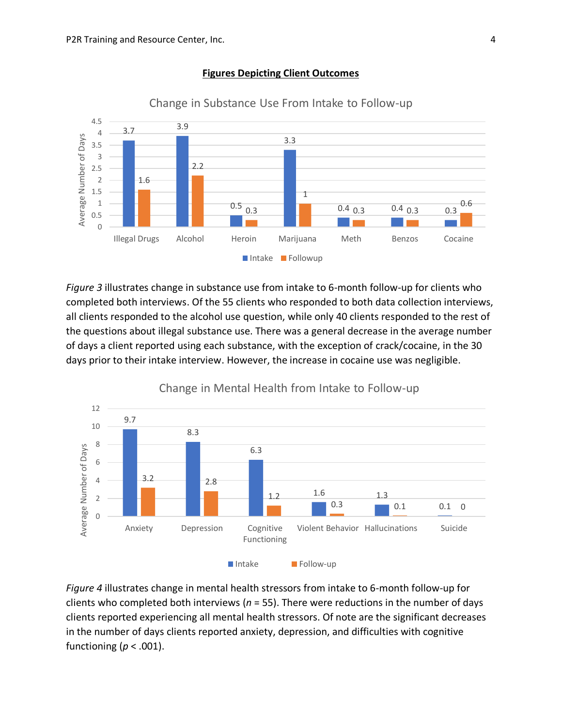

#### **Figures Depicting Client Outcomes**

*Figure 3* illustrates change in substance use from intake to 6-month follow-up for clients who completed both interviews. Of the 55 clients who responded to both data collection interviews, all clients responded to the alcohol use question, while only 40 clients responded to the rest of the questions about illegal substance use. There was a general decrease in the average number of days a client reported using each substance, with the exception of crack/cocaine, in the 30 days prior to their intake interview. However, the increase in cocaine use was negligible.



Change in Mental Health from Intake to Follow-up

*Figure 4* illustrates change in mental health stressors from intake to 6-month follow-up for clients who completed both interviews (*n* = 55). There were reductions in the number of days clients reported experiencing all mental health stressors. Of note are the significant decreases in the number of days clients reported anxiety, depression, and difficulties with cognitive functioning (*p* < .001).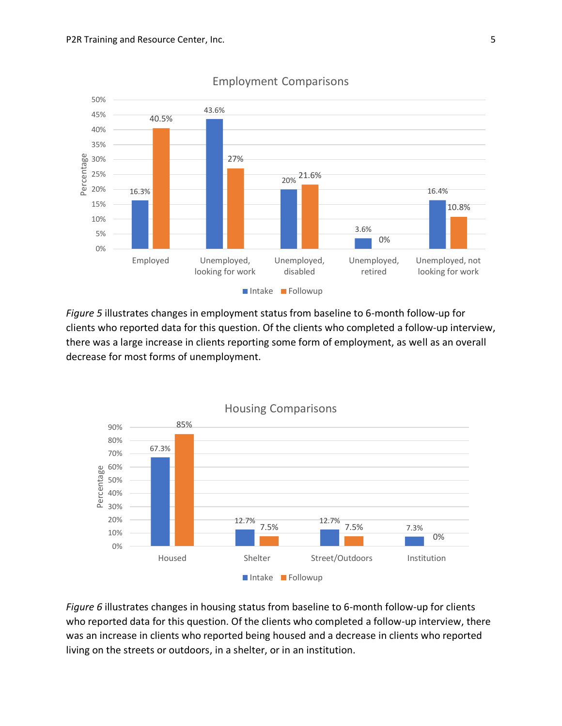

### Employment Comparisons

*Figure 5* illustrates changes in employment status from baseline to 6-month follow-up for clients who reported data for this question. Of the clients who completed a follow-up interview, there was a large increase in clients reporting some form of employment, as well as an overall decrease for most forms of unemployment.



*Figure 6* illustrates changes in housing status from baseline to 6-month follow-up for clients who reported data for this question. Of the clients who completed a follow-up interview, there was an increase in clients who reported being housed and a decrease in clients who reported living on the streets or outdoors, in a shelter, or in an institution.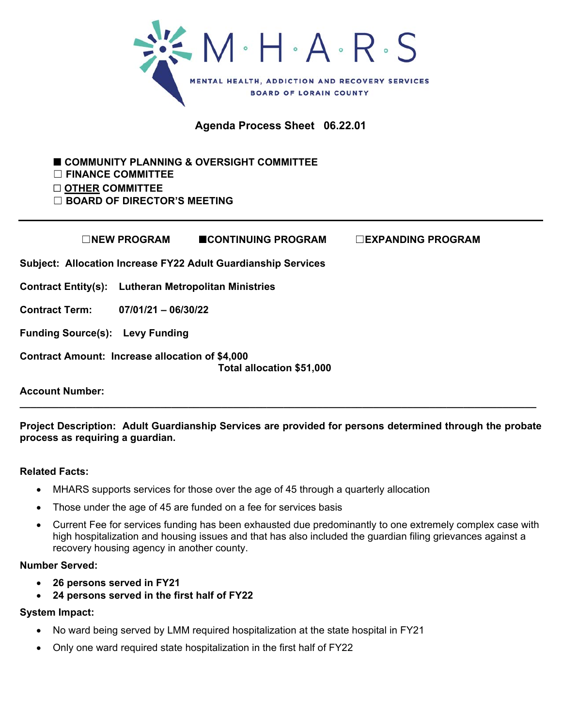

**Agenda Process Sheet 06.22.01** 

 **COMMUNITY PLANNING & OVERSIGHT COMMITTEE**  ☐ **FINANCE COMMITTEE**  ☐ **OTHER COMMITTEE** 

☐ **BOARD OF DIRECTOR'S MEETING**

|                                                        | □NEW PROGRAM          | <b>ECONTINUING PROGRAM</b>                                    | $\square$ EXPANDING PROGRAM |
|--------------------------------------------------------|-----------------------|---------------------------------------------------------------|-----------------------------|
|                                                        |                       | Subject: Allocation Increase FY22 Adult Guardianship Services |                             |
| Contract Entity(s): Lutheran Metropolitan Ministries   |                       |                                                               |                             |
| <b>Contract Term:</b>                                  | $07/01/21 - 06/30/22$ |                                                               |                             |
| <b>Funding Source(s): Levy Funding</b>                 |                       |                                                               |                             |
| <b>Contract Amount: Increase allocation of \$4,000</b> |                       | Total allocation \$51,000                                     |                             |

**Account Number:** 

**Project Description: Adult Guardianship Services are provided for persons determined through the probate process as requiring a guardian.** 

**\_\_\_\_\_\_\_\_\_\_\_\_\_\_\_\_\_\_\_\_\_\_\_\_\_\_\_\_\_\_\_\_\_\_\_\_\_\_\_\_\_\_\_\_\_\_\_\_\_\_\_\_\_\_\_\_\_\_\_\_\_\_\_\_\_\_\_\_\_\_\_\_\_\_\_\_\_\_\_\_\_\_\_\_\_\_\_\_\_\_\_\_** 

## **Related Facts:**

- MHARS supports services for those over the age of 45 through a quarterly allocation
- Those under the age of 45 are funded on a fee for services basis
- Current Fee for services funding has been exhausted due predominantly to one extremely complex case with high hospitalization and housing issues and that has also included the guardian filing grievances against a recovery housing agency in another county.

## **Number Served:**

- **26 persons served in FY21**
- **24 persons served in the first half of FY22**

## **System Impact:**

- No ward being served by LMM required hospitalization at the state hospital in FY21
- Only one ward required state hospitalization in the first half of FY22